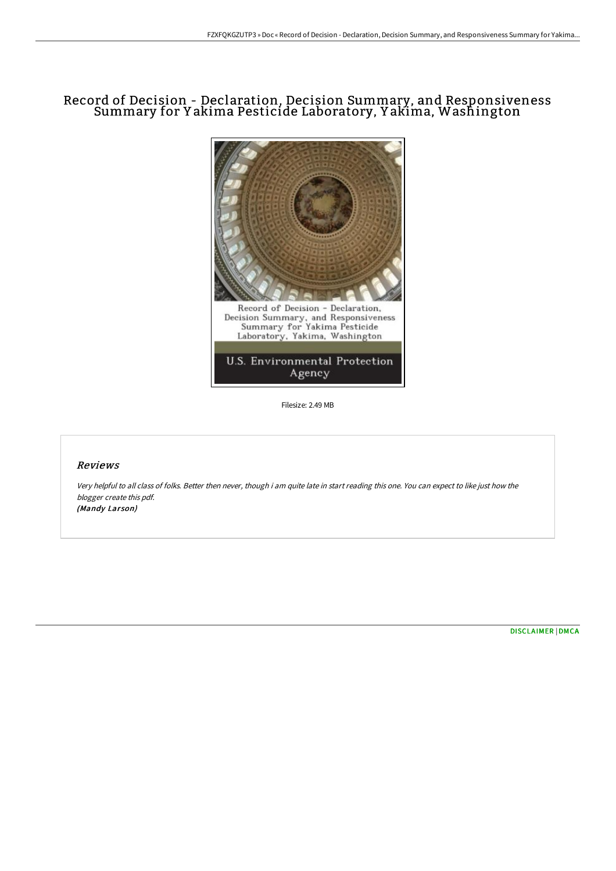# Record of Decision - Declaration, Decision Summary, and Responsiveness Summary for Y akima Pesticide Laboratory, Y akima, Washington



Filesize: 2.49 MB

## Reviews

Very helpful to all class of folks. Better then never, though i am quite late in start reading this one. You can expect to like just how the blogger create this pdf. (Mandy Larson)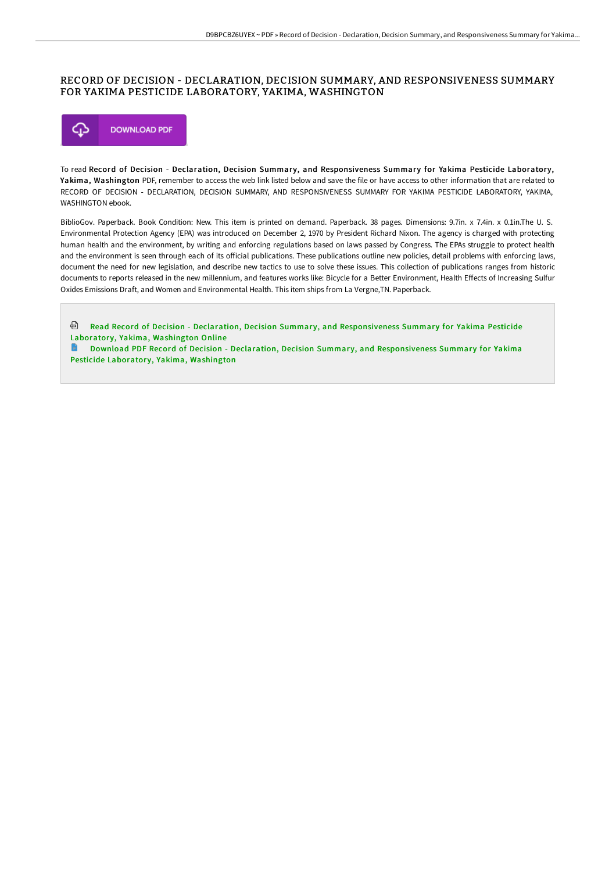# RECORD OF DECISION - DECLARATION, DECISION SUMMARY, AND RESPONSIVENESS SUMMARY FOR YAKIMA PESTICIDE LABORATORY, YAKIMA, WASHINGTON



To read Record of Decision - Declaration, Decision Summary, and Responsiveness Summary for Yakima Pesticide Laboratory, Yakima, Washington PDF, remember to access the web link listed below and save the file or have access to other information that are related to RECORD OF DECISION - DECLARATION, DECISION SUMMARY, AND RESPONSIVENESS SUMMARY FOR YAKIMA PESTICIDE LABORATORY, YAKIMA, WASHINGTON ebook.

BiblioGov. Paperback. Book Condition: New. This item is printed on demand. Paperback. 38 pages. Dimensions: 9.7in. x 7.4in. x 0.1in.The U. S. Environmental Protection Agency (EPA) was introduced on December 2, 1970 by President Richard Nixon. The agency is charged with protecting human health and the environment, by writing and enforcing regulations based on laws passed by Congress. The EPAs struggle to protect health and the environment is seen through each of its official publications. These publications outline new policies, detail problems with enforcing laws, document the need for new legislation, and describe new tactics to use to solve these issues. This collection of publications ranges from historic documents to reports released in the new millennium, and features works like: Bicycle for a Better Environment, Health EHects of Increasing Sulfur Oxides Emissions Draft, and Women and Environmental Health. This item ships from La Vergne,TN. Paperback.

<sup>@</sup> Read Record of Decision - Declaration, Decision Summary, and [Responsiveness](http://digilib.live/record-of-decision-declaration-decision-summary-.html) Summary for Yakima Pesticide Laboratory, Yakima, Washington Online

Download PDF Record of Decision - Declaration, Decision Summary, and [Responsiveness](http://digilib.live/record-of-decision-declaration-decision-summary-.html) Summary for Yakima Pesticide Laboratory, Yakima, Washington